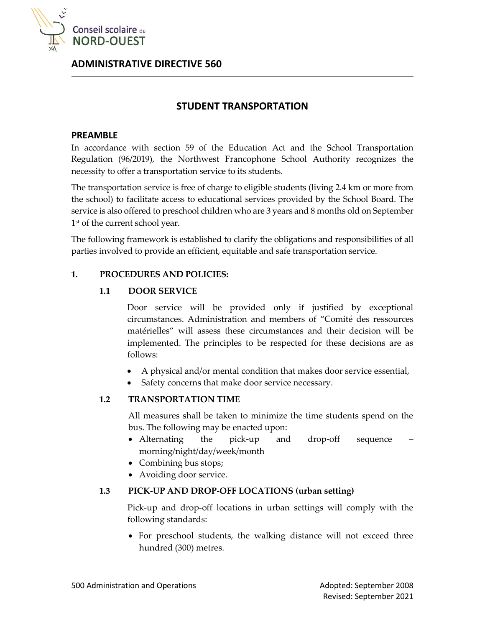

# **ADMINISTRATIVE DIRECTIVE 560**

# **STUDENT TRANSPORTATION**

#### **PREAMBLE**

In accordance with section 59 of the Education Act and the School Transportation Regulation (96/2019), the Northwest Francophone School Authority recognizes the necessity to offer a transportation service to its students.

The transportation service is free of charge to eligible students (living 2.4 km or more from the school) to facilitate access to educational services provided by the School Board. The service is also offered to preschool children who are 3 years and 8 months old on September 1 st of the current school year.

The following framework is established to clarify the obligations and responsibilities of all parties involved to provide an efficient, equitable and safe transportation service.

### **1. PROCEDURES AND POLICIES:**

#### **1.1 DOOR SERVICE**

Door service will be provided only if justified by exceptional circumstances. Administration and members of "Comité des ressources matérielles" will assess these circumstances and their decision will be implemented. The principles to be respected for these decisions are as follows:

- A physical and/or mental condition that makes door service essential,
- Safety concerns that make door service necessary.

### **1.2 TRANSPORTATION TIME**

All measures shall be taken to minimize the time students spend on the bus. The following may be enacted upon:

- Alternating the pick-up and drop-off sequence morning/night/day/week/month
- Combining bus stops;
- Avoiding door service.

### **1.3 PICK-UP AND DROP-OFF LOCATIONS (urban setting)**

Pick-up and drop-off locations in urban settings will comply with the following standards:

• For preschool students, the walking distance will not exceed three hundred (300) metres.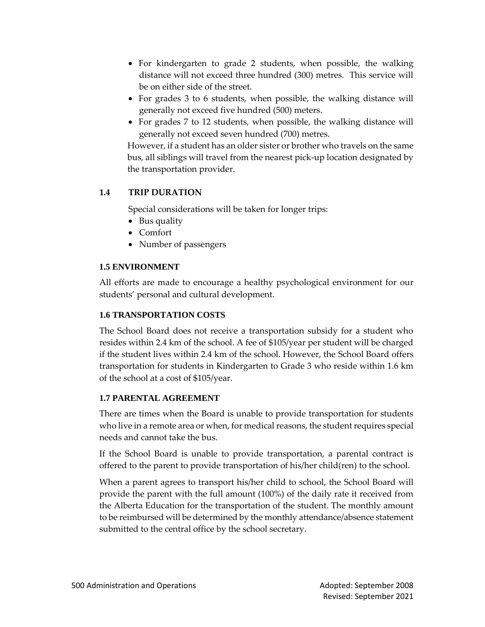- For kindergarten to grade 2 students, when possible, the walking distance will not exceed three hundred (300) metres. This service will be on either side of the street.
- For grades 3 to 6 students, when possible, the walking distance will generally not exceed five hundred (500) meters.
- For grades 7 to 12 students, when possible, the walking distance will generally not exceed seven hundred (700) metres.

However, if a student has an older sister or brother who travels on the same bus, all siblings will travel from the nearest pick-up location designated by the transportation provider.

# **1.4 TRIP DURATION**

Special considerations will be taken for longer trips:

- Bus quality
- Comfort
- Number of passengers

# **1.5 ENVIRONMENT**

All efforts are made to encourage a healthy psychological environment for our students' personal and cultural development.

# **1.6 TRANSPORTATION COSTS**

The School Board does not receive a transportation subsidy for a student who resides within 2.4 km of the school. A fee of \$105/year per student will be charged if the student lives within 2.4 km of the school. However, the School Board offers transportation for students in Kindergarten to Grade 3 who reside within 1.6 km of the school at a cost of \$105/year.

# **1.7 PARENTAL AGREEMENT**

There are times when the Board is unable to provide transportation for students who live in a remote area or when, for medical reasons, the student requires special needs and cannot take the bus.

If the School Board is unable to provide transportation, a parental contract is offered to the parent to provide transportation of his/her child(ren) to the school.

When a parent agrees to transport his/her child to school, the School Board will provide the parent with the full amount (100%) of the daily rate it received from the Alberta Education for the transportation of the student. The monthly amount to be reimbursed will be determined by the monthly attendance/absence statement submitted to the central office by the school secretary.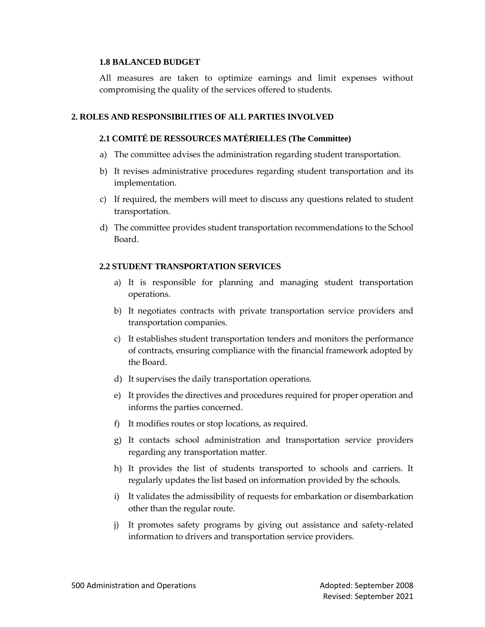#### **1.8 BALANCED BUDGET**

All measures are taken to optimize earnings and limit expenses without compromising the quality of the services offered to students.

#### **2. ROLES AND RESPONSIBILITIES OF ALL PARTIES INVOLVED**

#### **2.1 COMITÉ DE RESSOURCES MATÉRIELLES (The Committee)**

- a) The committee advises the administration regarding student transportation.
- b) It revises administrative procedures regarding student transportation and its implementation.
- c) If required, the members will meet to discuss any questions related to student transportation.
- d) The committee provides student transportation recommendations to the School Board.

#### **2.2 STUDENT TRANSPORTATION SERVICES**

- a) It is responsible for planning and managing student transportation operations.
- b) It negotiates contracts with private transportation service providers and transportation companies.
- c) It establishes student transportation tenders and monitors the performance of contracts, ensuring compliance with the financial framework adopted by the Board.
- d) It supervises the daily transportation operations.
- e) It provides the directives and procedures required for proper operation and informs the parties concerned.
- f) It modifies routes or stop locations, as required.
- g) It contacts school administration and transportation service providers regarding any transportation matter.
- h) It provides the list of students transported to schools and carriers. It regularly updates the list based on information provided by the schools.
- i) It validates the admissibility of requests for embarkation or disembarkation other than the regular route.
- j) It promotes safety programs by giving out assistance and safety-related information to drivers and transportation service providers.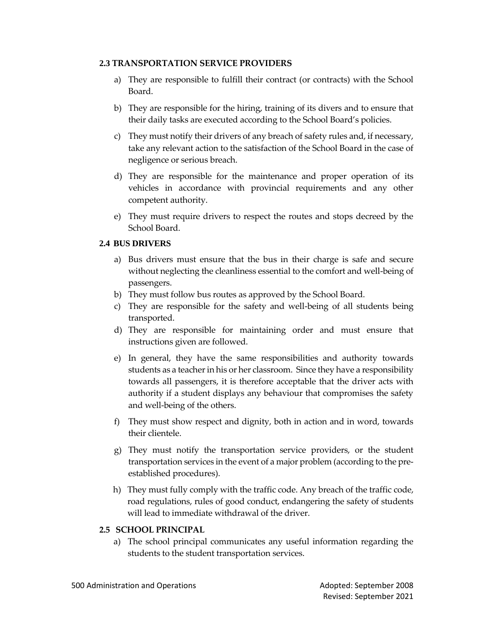### **2.3 TRANSPORTATION SERVICE PROVIDERS**

- a) They are responsible to fulfill their contract (or contracts) with the School Board.
- b) They are responsible for the hiring, training of its divers and to ensure that their daily tasks are executed according to the School Board's policies.
- c) They must notify their drivers of any breach of safety rules and, if necessary, take any relevant action to the satisfaction of the School Board in the case of negligence or serious breach.
- d) They are responsible for the maintenance and proper operation of its vehicles in accordance with provincial requirements and any other competent authority.
- e) They must require drivers to respect the routes and stops decreed by the School Board.

# **2.4 BUS DRIVERS**

- a) Bus drivers must ensure that the bus in their charge is safe and secure without neglecting the cleanliness essential to the comfort and well-being of passengers.
- b) They must follow bus routes as approved by the School Board.
- c) They are responsible for the safety and well-being of all students being transported.
- d) They are responsible for maintaining order and must ensure that instructions given are followed.
- e) In general, they have the same responsibilities and authority towards students as a teacher in his or her classroom. Since they have a responsibility towards all passengers, it is therefore acceptable that the driver acts with authority if a student displays any behaviour that compromises the safety and well-being of the others.
- f) They must show respect and dignity, both in action and in word, towards their clientele.
- g) They must notify the transportation service providers, or the student transportation services in the event of a major problem (according to the preestablished procedures).
- h) They must fully comply with the traffic code. Any breach of the traffic code, road regulations, rules of good conduct, endangering the safety of students will lead to immediate withdrawal of the driver.

# **2.5 SCHOOL PRINCIPAL**

a) The school principal communicates any useful information regarding the students to the student transportation services.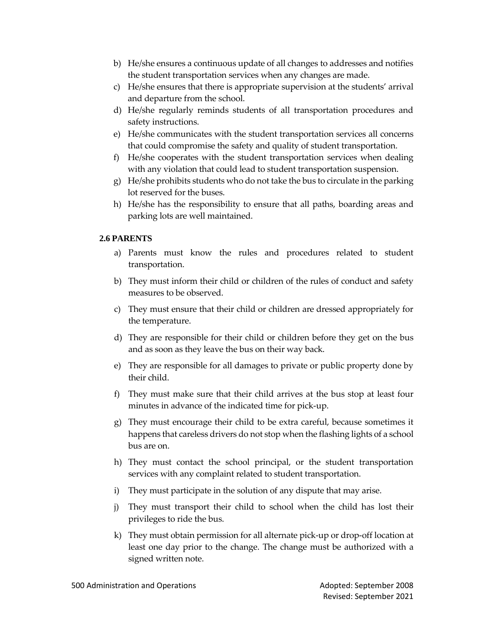- b) He/she ensures a continuous update of all changes to addresses and notifies the student transportation services when any changes are made.
- c) He/she ensures that there is appropriate supervision at the students' arrival and departure from the school.
- d) He/she regularly reminds students of all transportation procedures and safety instructions.
- e) He/she communicates with the student transportation services all concerns that could compromise the safety and quality of student transportation.
- f) He/she cooperates with the student transportation services when dealing with any violation that could lead to student transportation suspension.
- g) He/she prohibits students who do not take the bus to circulate in the parking lot reserved for the buses.
- h) He/she has the responsibility to ensure that all paths, boarding areas and parking lots are well maintained.

# **2.6 PARENTS**

- a) Parents must know the rules and procedures related to student transportation.
- b) They must inform their child or children of the rules of conduct and safety measures to be observed.
- c) They must ensure that their child or children are dressed appropriately for the temperature.
- d) They are responsible for their child or children before they get on the bus and as soon as they leave the bus on their way back.
- e) They are responsible for all damages to private or public property done by their child.
- f) They must make sure that their child arrives at the bus stop at least four minutes in advance of the indicated time for pick-up.
- g) They must encourage their child to be extra careful, because sometimes it happens that careless drivers do not stop when the flashing lights of a school bus are on.
- h) They must contact the school principal, or the student transportation services with any complaint related to student transportation.
- i) They must participate in the solution of any dispute that may arise.
- j) They must transport their child to school when the child has lost their privileges to ride the bus.
- k) They must obtain permission for all alternate pick-up or drop-off location at least one day prior to the change. The change must be authorized with a signed written note.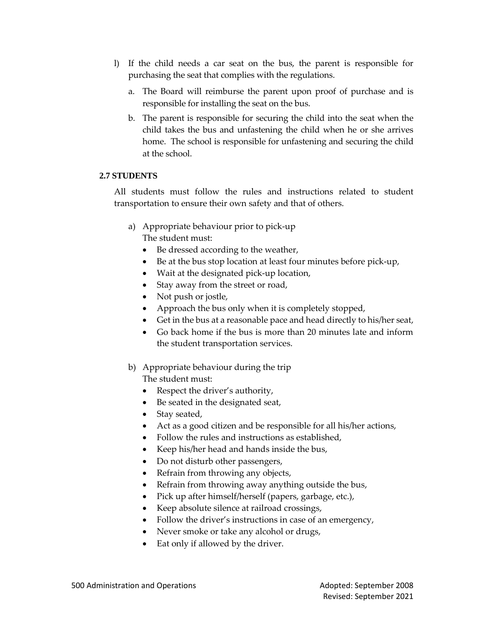- l) If the child needs a car seat on the bus, the parent is responsible for purchasing the seat that complies with the regulations.
	- a. The Board will reimburse the parent upon proof of purchase and is responsible for installing the seat on the bus.
	- b. The parent is responsible for securing the child into the seat when the child takes the bus and unfastening the child when he or she arrives home. The school is responsible for unfastening and securing the child at the school.

# **2.7 STUDENTS**

All students must follow the rules and instructions related to student transportation to ensure their own safety and that of others.

- a) Appropriate behaviour prior to pick-up The student must:
	- Be dressed according to the weather,
	- Be at the bus stop location at least four minutes before pick-up,
	- Wait at the designated pick-up location,
	- Stay away from the street or road,
	- Not push or jostle,
	- Approach the bus only when it is completely stopped,
	- Get in the bus at a reasonable pace and head directly to his/her seat,
	- Go back home if the bus is more than 20 minutes late and inform the student transportation services.
- b) Appropriate behaviour during the trip The student must:
	- Respect the driver's authority,
	- Be seated in the designated seat,
	- Stay seated,
	- Act as a good citizen and be responsible for all his/her actions,
	- Follow the rules and instructions as established,
	- Keep his/her head and hands inside the bus,
	- Do not disturb other passengers,
	- Refrain from throwing any objects,
	- Refrain from throwing away anything outside the bus,
	- Pick up after himself/herself (papers, garbage, etc.),
	- Keep absolute silence at railroad crossings,
	- Follow the driver's instructions in case of an emergency,
	- Never smoke or take any alcohol or drugs,
	- Eat only if allowed by the driver.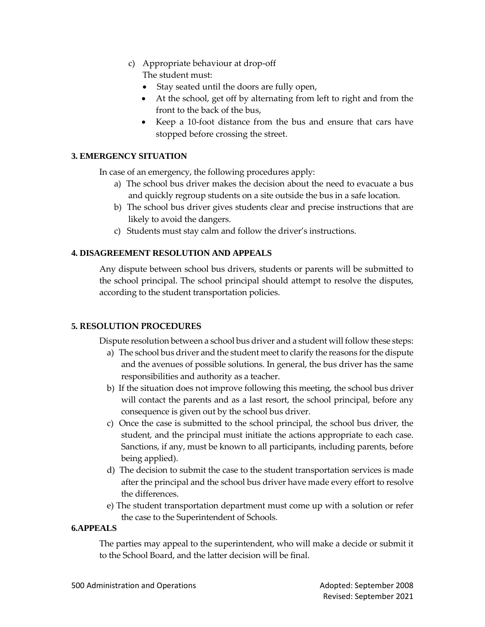- c) Appropriate behaviour at drop-off The student must:
	- Stay seated until the doors are fully open,
	- At the school, get off by alternating from left to right and from the front to the back of the bus,
	- Keep a 10-foot distance from the bus and ensure that cars have stopped before crossing the street.

# **3. EMERGENCY SITUATION**

In case of an emergency, the following procedures apply:

- a) The school bus driver makes the decision about the need to evacuate a bus and quickly regroup students on a site outside the bus in a safe location.
- b) The school bus driver gives students clear and precise instructions that are likely to avoid the dangers.
- c) Students must stay calm and follow the driver's instructions.

# **4. DISAGREEMENT RESOLUTION AND APPEALS**

Any dispute between school bus drivers, students or parents will be submitted to the school principal. The school principal should attempt to resolve the disputes, according to the student transportation policies.

# **5. RESOLUTION PROCEDURES**

Dispute resolution between a school bus driver and a student will follow these steps:

- a) The school bus driver and the student meet to clarify the reasons for the dispute and the avenues of possible solutions. In general, the bus driver has the same responsibilities and authority as a teacher.
- b) If the situation does not improve following this meeting, the school bus driver will contact the parents and as a last resort, the school principal, before any consequence is given out by the school bus driver.
- c) Once the case is submitted to the school principal, the school bus driver, the student, and the principal must initiate the actions appropriate to each case. Sanctions, if any, must be known to all participants, including parents, before being applied).
- d) The decision to submit the case to the student transportation services is made after the principal and the school bus driver have made every effort to resolve the differences.
- e) The student transportation department must come up with a solution or refer the case to the Superintendent of Schools.

### **6.APPEALS**

The parties may appeal to the superintendent, who will make a decide or submit it to the School Board, and the latter decision will be final.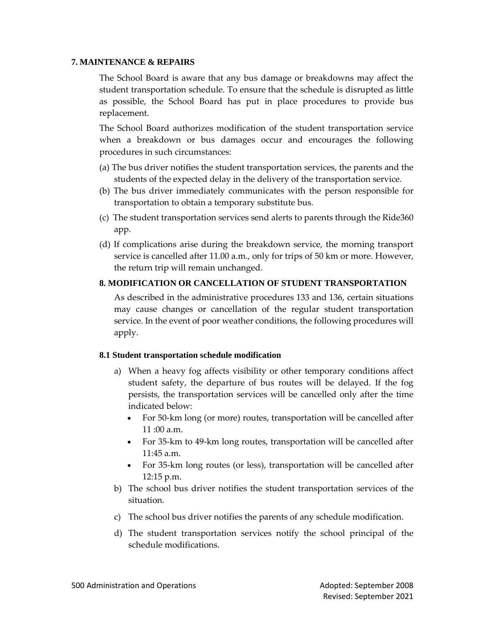#### **7. MAINTENANCE & REPAIRS**

The School Board is aware that any bus damage or breakdowns may affect the student transportation schedule. To ensure that the schedule is disrupted as little as possible, the School Board has put in place procedures to provide bus replacement.

The School Board authorizes modification of the student transportation service when a breakdown or bus damages occur and encourages the following procedures in such circumstances:

- (a) The bus driver notifies the student transportation services, the parents and the students of the expected delay in the delivery of the transportation service.
- (b) The bus driver immediately communicates with the person responsible for transportation to obtain a temporary substitute bus.
- (c) The student transportation services send alerts to parents through the Ride360 app.
- (d) If complications arise during the breakdown service, the morning transport service is cancelled after 11.00 a.m., only for trips of 50 km or more. However, the return trip will remain unchanged.

### **8. MODIFICATION OR CANCELLATION OF STUDENT TRANSPORTATION**

As described in the administrative procedures 133 and 136, certain situations may cause changes or cancellation of the regular student transportation service. In the event of poor weather conditions, the following procedures will apply.

### **8.1 Student transportation schedule modification**

- a) When a heavy fog affects visibility or other temporary conditions affect student safety, the departure of bus routes will be delayed. If the fog persists, the transportation services will be cancelled only after the time indicated below:
	- For 50-km long (or more) routes, transportation will be cancelled after 11 :00 a.m.
	- For 35-km to 49-km long routes, transportation will be cancelled after 11:45 a.m.
	- For 35-km long routes (or less), transportation will be cancelled after 12:15 p.m.
- b) The school bus driver notifies the student transportation services of the situation.
- c) The school bus driver notifies the parents of any schedule modification.
- d) The student transportation services notify the school principal of the schedule modifications.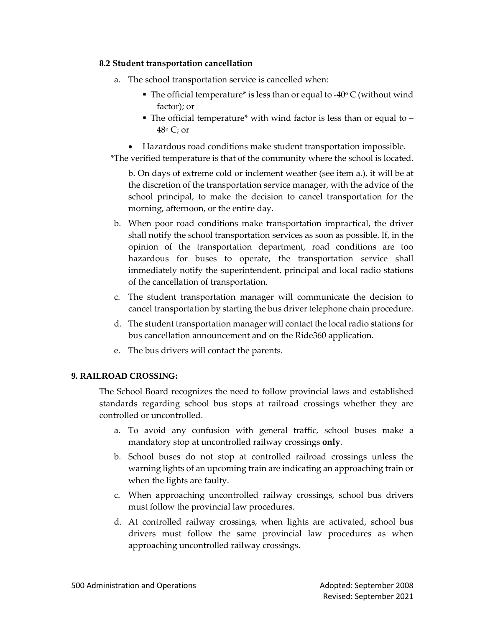### **8.2 Student transportation cancellation**

- a. The school transportation service is cancelled when:
	- **•** The official temperature\* is less than or equal to -40 $\degree$  C (without wind factor); or
	- $\blacksquare$  The official temperature\* with wind factor is less than or equal to  $48^\circ$  C; or
	- Hazardous road conditions make student transportation impossible.

\*The verified temperature is that of the community where the school is located.

b. On days of extreme cold or inclement weather (see item a.), it will be at the discretion of the transportation service manager, with the advice of the school principal, to make the decision to cancel transportation for the morning, afternoon, or the entire day.

- b. When poor road conditions make transportation impractical, the driver shall notify the school transportation services as soon as possible. If, in the opinion of the transportation department, road conditions are too hazardous for buses to operate, the transportation service shall immediately notify the superintendent, principal and local radio stations of the cancellation of transportation.
- c. The student transportation manager will communicate the decision to cancel transportation by starting the bus driver telephone chain procedure.
- d. The student transportation manager will contact the local radio stations for bus cancellation announcement and on the Ride360 application.
- e. The bus drivers will contact the parents.

### **9. RAILROAD CROSSING:**

The School Board recognizes the need to follow provincial laws and established standards regarding school bus stops at railroad crossings whether they are controlled or uncontrolled.

- a. To avoid any confusion with general traffic, school buses make a mandatory stop at uncontrolled railway crossings **only**.
- b. School buses do not stop at controlled railroad crossings unless the warning lights of an upcoming train are indicating an approaching train or when the lights are faulty.
- c. When approaching uncontrolled railway crossings, school bus drivers must follow the provincial law procedures.
- d. At controlled railway crossings, when lights are activated, school bus drivers must follow the same provincial law procedures as when approaching uncontrolled railway crossings.